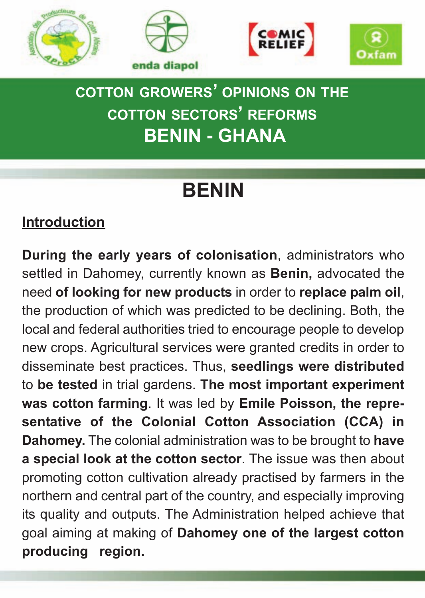

# **cotton growers' opinions on the cotton sectors' reforms Benin - ghAnA**

# **Benin**

## **introduction**

**During the early years of colonisation**, administrators who settled in Dahomey, currently known as **Benin,** advocated the need **of looking for new products** in order to **replace palm oil**, the production of which was predicted to be declining. Both, the local and federal authorities tried to encourage people to develop new crops. Agricultural services were granted credits in order to disseminate best practices. Thus, **seedlings were distributed** to **be tested** in trial gardens. **the most important experiment** was cotton farming. It was led by Emile Poisson, the repre**sentative of the colonial cotton Association (ccA) in Dahomey.** The colonial administration was to be brought to **have a special look at the cotton sector**. The issue was then about promoting cotton cultivation already practised by farmers in the northern and central part of the country, and especially improving its quality and outputs. The Administration helped achieve that goal aiming at making of **Dahomey one of the largest cotton producing region.**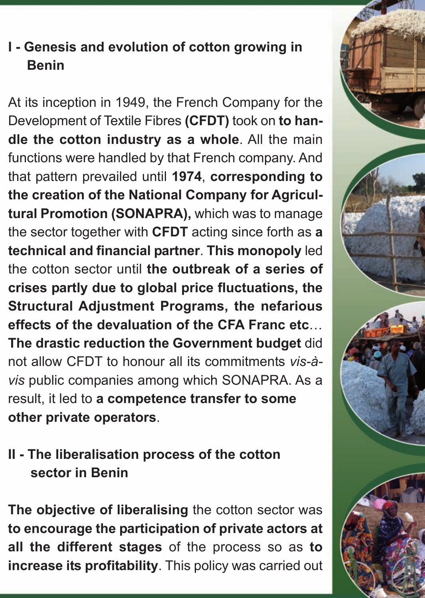# **i - genesis and evolution of cotton growing in Benin**

At its inception in 1949, the French Company for the Development of Textile Fibres **(cfDt)** took on **to handle the cotton industry as a whole**. All the main functions were handled by that French company. And that pattern prevailed until **1974**, **corresponding to** the creation of the National Company for Agricul**tural Promotion (SONAPRA), which was to manage** the sector together with **cfDt** acting since forth as **a technical and financial partner**. **this monopoly** led the cotton sector until **the outbreak of a series of crises partly due to global price fluctuations, the structural Adjustment programs, the nefarious effects of the devaluation of the cfA franc etc**… **the drastic reduction the government budget** did not allow CFDT to honour all its commitments *vis-àvis* public companies among which SONAPRA. As a result, it led to **a competence transfer to some other private operators**.

## **ii - the liberalisation process of the cotton sector in Benin**

**the objective of liberalising** the cotton sector was **to encourage the participation of private actors at all the different stages** of the process so as **to increase its profitability**. This policy was carried out

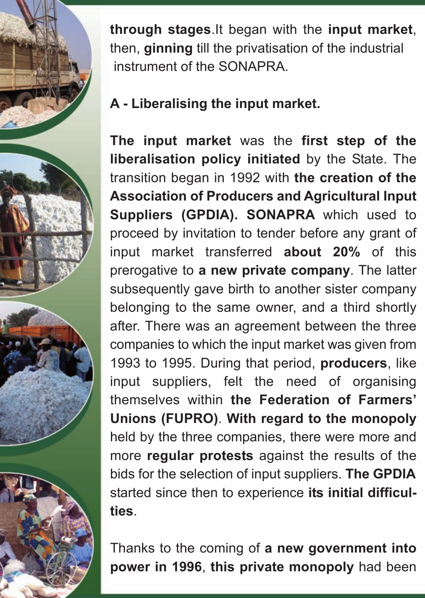**through stages**.It began with the **input market**, then, **ginning** till the privatisation of the industrial instrument of the SONAPRA.

## **A - Liberalising the input market.**

**the input market** was the **first step of the liberalisation policy initiated** by the State. The transition began in 1992 with **the creation of the Association of producers and Agricultural input Suppliers (GPDIA). SONAPRA** which used to proceed by invitation to tender before any grant of input market transferred **about 20%** of this prerogative to **a new private company**. The latter subsequently gave birth to another sister company belonging to the same owner, and a third shortly after. There was an agreement between the three companies to which the input market was given from 1993 to 1995. During that period, **producers**, like input suppliers, felt the need of organising themselves within **the federation of farmers' Unions (fUpro)**. **with regard to the monopoly** held by the three companies, there were more and more **regular protests** against the results of the bids for the selection of input suppliers. **the gpDiA** started since then to experience **its initial difficulties**.

Thanks to the coming of **a new government into power in 1996**, **this private monopoly** had been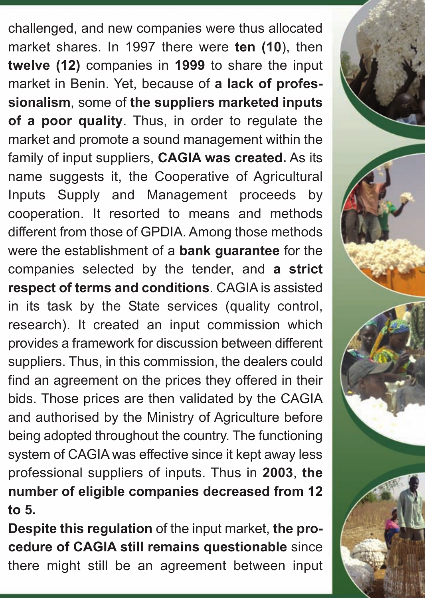challenged, and new companies were thus allocated market shares. In 1997 there were **ten (10**), then **twelve (12)** companies in **1999** to share the input market in Benin. Yet, because of **a lack of professionalism**, some of **the suppliers marketed inputs of a poor quality**. Thus, in order to regulate the market and promote a sound management within the family of input suppliers, **cAgiA was created.** As its name suggests it, the Cooperative of Agricultural Inputs Supply and Management proceeds by cooperation. It resorted to means and methods different from those of GPDIA. Among those methods were the establishment of a **bank guarantee** for the companies selected by the tender, and **a strict respect of terms and conditions**. CAGIA is assisted in its task by the State services (quality control, research). It created an input commission which provides a framework for discussion between different suppliers. Thus, in this commission, the dealers could find an agreement on the prices they offered in their bids. Those prices are then validated by the CAGIA and authorised by the Ministry of Agriculture before being adopted throughout the country. The functioning system of CAGIA was effective since it kept away less professional suppliers of inputs. Thus in **2003**, **the number of eligible companies decreased from 12 to 5.**

**Despite this regulation** of the input market, **the procedure of cAgiA still remains questionable** since there might still be an agreement between input

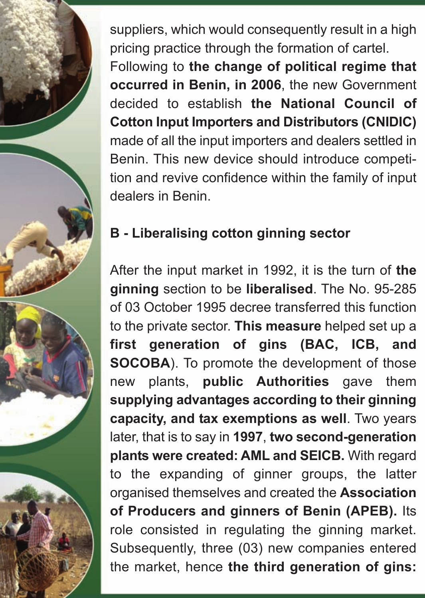suppliers, which would consequently result in a high pricing practice through the formation of cartel. Following to **the change of political regime that occurred in Benin, in 2006**, the new Government decided to establish **the national council of cotton input importers and Distributors (cniDic)** made of all the input importers and dealers settled in Benin. This new device should introduce competition and revive confidence within the family of input dealers in Benin.

#### **B - Liberalising cotton ginning sector**

After the input market in 1992, it is the turn of **the ginning** section to be **liberalised**. The No. 95-285 of 03 October 1995 decree transferred this function to the private sector. **this measure** helped set up a **first generation of gins (BAc, icB, and socoBA**). To promote the development of those new plants, **public Authorities** gave them **supplying advantages according to their ginning capacity, and tax exemptions as well**. Two years later, that is to say in **1997**, **two second-generation plants were created: AmL and seicB.** With regard to the expanding of ginner groups, the latter organised themselves and created the **Association of producers and ginners of Benin (ApeB).** Its role consisted in regulating the ginning market. Subsequently, three (03) new companies entered the market, hence **the third generation of gins:**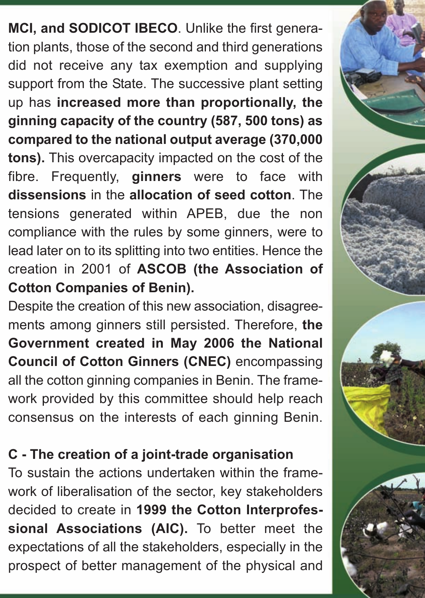**MCI, and SODICOT IBECO.** Unlike the first generation plants, those of the second and third generations did not receive any tax exemption and supplying support from the State. The successive plant setting up has **increased more than proportionally, the ginning capacity of the country (587, 500 tons) as compared to the national output average (370,000 tons).** This overcapacity impacted on the cost of the fibre. Frequently, **ginners** were to face with **dissensions** in the **allocation of seed cotton**. The tensions generated within APEB, due the non compliance with the rules by some ginners, were to lead later on to its splitting into two entities. Hence the creation in 2001 of **AscoB (the Association of cotton companies of Benin).** 

Despite the creation of this new association, disagreements among ginners still persisted. Therefore, **the government created in may 2006 the national Council of Cotton Ginners (CNEC)** encompassing all the cotton ginning companies in Benin. The framework provided by this committee should help reach consensus on the interests of each ginning Benin.

#### **c - the creation of a joint-trade organisation**

To sustain the actions undertaken within the framework of liberalisation of the sector, key stakeholders decided to create in **1999 the cotton interprofessional Associations (Aic).** To better meet the expectations of all the stakeholders, especially in the prospect of better management of the physical and

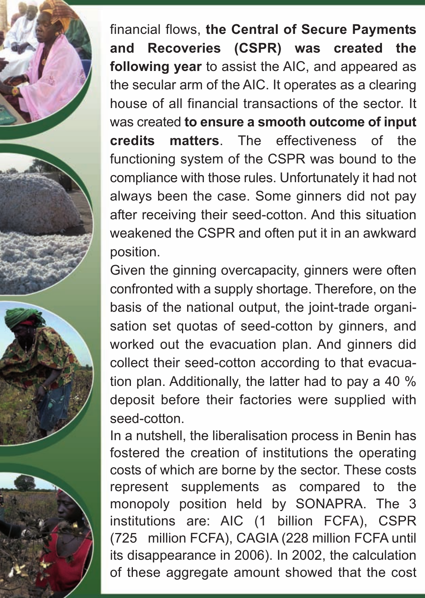financial flows, **the central of secure payments and recoveries (cspr) was created the following year** to assist the AIC, and appeared as the secular arm of the AIC. It operates as a clearing house of all financial transactions of the sector. It was created **to ensure a smooth outcome of input credits matters**. The effectiveness of the functioning system of the CSPR was bound to the compliance with those rules. Unfortunately it had not always been the case. Some ginners did not pay after receiving their seed-cotton. And this situation weakened the CSPR and often put it in an awkward position.

Given the ginning overcapacity, ginners were often confronted with a supply shortage. Therefore, on the basis of the national output, the joint-trade organisation set quotas of seed-cotton by ginners, and worked out the evacuation plan. And ginners did collect their seed-cotton according to that evacuation plan. Additionally, the latter had to pay a 40 % deposit before their factories were supplied with seed-cotton.

In a nutshell, the liberalisation process in Benin has fostered the creation of institutions the operating costs of which are borne by the sector. These costs represent supplements as compared to the monopoly position held by SONAPRA. The 3 institutions are: AIC (1 billion FCFA), CSPR (725 million FCFA), CAGIA (228 million FCFA until its disappearance in 2006). In 2002, the calculation of these aggregate amount showed that the cost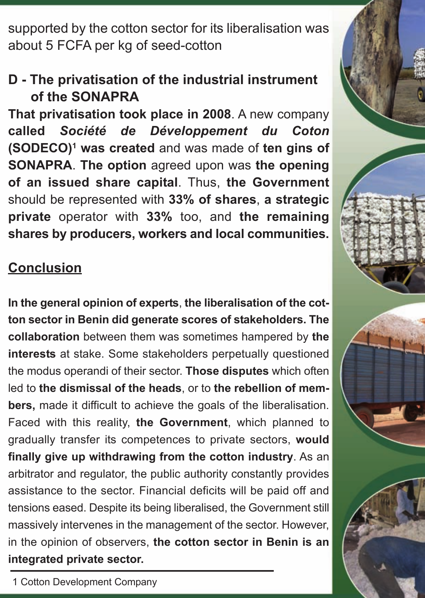supported by the cotton sector for its liberalisation was about 5 FCFA per kg of seed-cotton

#### **D - the privatisation of the industrial instrument of the sonAprA**

**that privatisation took place in 2008**. A new company **called** *Société de Développement du Coton* **(soDeco)1 was created** and was made of **ten gins of sonAprA**. **the option** agreed upon was **the opening of an issued share capital**. Thus, **the government** should be represented with **33% of shares**, **a strategic private** operator with **33%** too, and **the remaining shares by producers, workers and local communities.** 

#### **conclusion**

**in the general opinion of experts**, **the liberalisation of the cotton sector in Benin did generate scores of stakeholders. the collaboration** between them was sometimes hampered by **the interests** at stake. Some stakeholders perpetually questioned the modus operandi of their sector. **those disputes** which often led to **the dismissal of the heads**, or to **the rebellion of members,** made it difficult to achieve the goals of the liberalisation. Faced with this reality, **the government**, which planned to gradually transfer its competences to private sectors, **would finally give up withdrawing from the cotton industry**. As an arbitrator and regulator, the public authority constantly provides assistance to the sector. Financial deficits will be paid off and tensions eased. Despite its being liberalised, the Government still massively intervenes in the management of the sector. However, in the opinion of observers, **the cotton sector in Benin is an integrated private sector.**



1 Cotton Development Company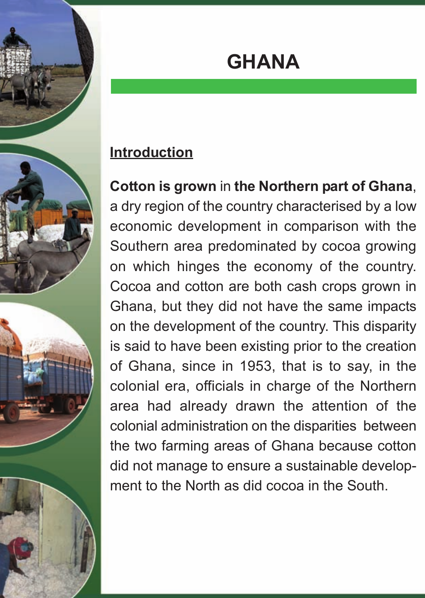# **ghAnA**



**Cotton is grown in the Northern part of Ghana,** a dry region of the country characterised by a low economic development in comparison with the Southern area predominated by cocoa growing on which hinges the economy of the country. Cocoa and cotton are both cash crops grown in Ghana, but they did not have the same impacts on the development of the country. This disparity is said to have been existing prior to the creation of Ghana, since in 1953, that is to say, in the colonial era, officials in charge of the Northern area had already drawn the attention of the colonial administration on the disparities between the two farming areas of Ghana because cotton did not manage to ensure a sustainable development to the North as did cocoa in the South.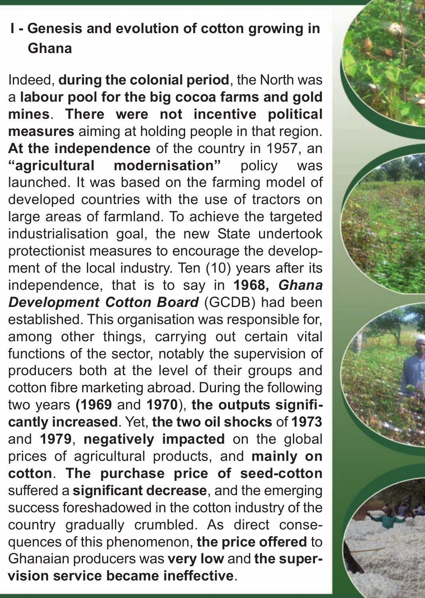# **i - genesis and evolution of cotton growing in ghana**

Indeed, **during the colonial period**, the North was a **labour pool for the big cocoa farms and gold mines**. **there were not incentive political measures** aiming at holding people in that region. **At the independence** of the country in 1957, an **"agricultural modernisation"** policy was launched. It was based on the farming model of developed countries with the use of tractors on large areas of farmland. To achieve the targeted industrialisation goal, the new State undertook protectionist measures to encourage the development of the local industry. Ten (10) years after its independence, that is to say in **1968,** *Ghana Development Cotton Board* (GCDB) had been established. This organisation was responsible for, among other things, carrying out certain vital functions of the sector, notably the supervision of producers both at the level of their groups and cotton fibre marketing abroad. During the following two years **(1969** and **1970**), **the outputs significantly increased**. Yet, **the two oil shocks** of **1973** and **1979**, **negatively impacted** on the global prices of agricultural products, and **mainly on cotton**. **the purchase price of seed-cotton** suffered a **significant decrease**, and the emerging success foreshadowed in the cotton industry of the country gradually crumbled. As direct consequences of this phenomenon, **the price offered** to Ghanaian producers was **very low** and **the supervision service became ineffective**.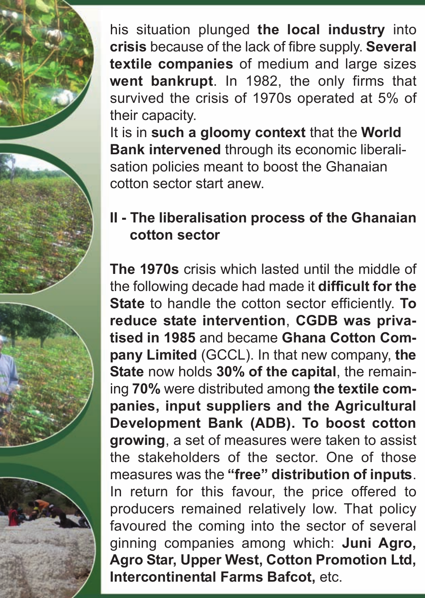his situation plunged **the local industry** into **crisis** because of the lack of fibre supply. **several textile companies** of medium and large sizes **went bankrupt**. In 1982, the only firms that survived the crisis of 1970s operated at 5% of their capacity.

It is in **such a gloomy context** that the **world Bank intervened** through its economic liberalisation policies meant to boost the Ghanaian cotton sector start anew.

#### **ii - the liberalisation process of the ghanaian cotton sector**

**the 1970s** crisis which lasted until the middle of the following decade had made it **difficult for the state** to handle the cotton sector efficiently. **to reduce state intervention**, **cgDB was privatised in 1985** and became **ghana cotton company Limited** (GCCL). In that new company, **the state** now holds **30% of the capital**, the remaining **70%** were distributed among **the textile companies, input suppliers and the Agricultural** Development Bank (ADB). To boost cotton **growing**, a set of measures were taken to assist the stakeholders of the sector. One of those measures was the **"free" distribution of inputs**. In return for this favour, the price offered to producers remained relatively low. That policy favoured the coming into the sector of several ginning companies among which: **Juni Agro, Agro star, Upper west, cotton promotion Ltd, intercontinental farms Bafcot,** etc.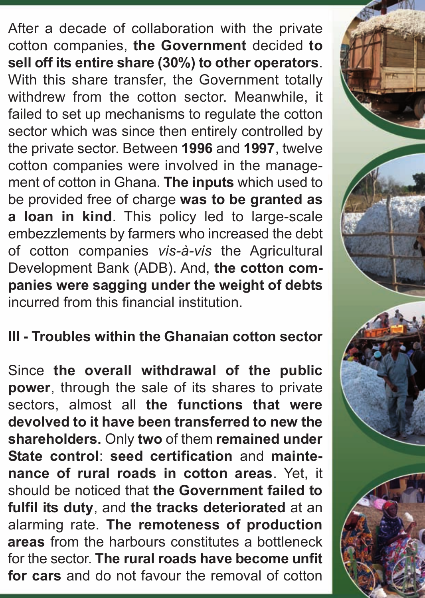After a decade of collaboration with the private cotton companies, **the government** decided **to sell off its entire share (30%) to other operators**. With this share transfer, the Government totally withdrew from the cotton sector. Meanwhile, it failed to set up mechanisms to regulate the cotton sector which was since then entirely controlled by the private sector. Between **1996** and **1997**, twelve cotton companies were involved in the management of cotton in Ghana. **the inputs** which used to be provided free of charge **was to be granted as a loan in kind**. This policy led to large-scale embezzlements by farmers who increased the debt of cotton companies *vis-à-vis* the Agricultural Development Bank (ADB). And, **the cotton companies were sagging under the weight of debts** incurred from this financial institution.

#### **III - Troubles within the Ghanaian cotton sector**

Since **the overall withdrawal of the public power**, through the sale of its shares to private sectors, almost all **the functions that were devolved to it have been transferred to new the shareholders.** Only **two** of them **remained under state control**: **seed certification** and **maintenance of rural roads in cotton areas**. Yet, it should be noticed that **the government failed to fulfil its duty**, and **the tracks deteriorated** at an alarming rate. **the remoteness of production areas** from the harbours constitutes a bottleneck for the sector. **the rural roads have become unfit for cars** and do not favour the removal of cotton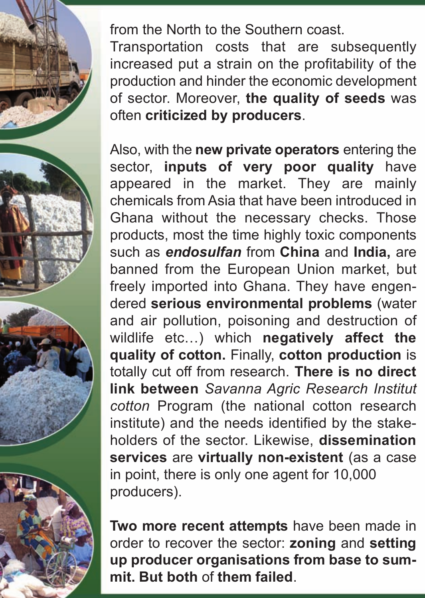from the North to the Southern coast.

Transportation costs that are subsequently increased put a strain on the profitability of the production and hinder the economic development of sector. Moreover, **the quality of seeds** was often **criticized by producers**.

Also, with the **new private operators** entering the sector, **inputs of very poor quality** have appeared in the market. They are mainly chemicals from Asia that have been introduced in Ghana without the necessary checks. Those products, most the time highly toxic components such as *endosulfan* from **china** and **india,** are banned from the European Union market, but freely imported into Ghana. They have engendered **serious environmental problems** (water and air pollution, poisoning and destruction of wildlife etc…) which **negatively affect the quality of cotton.** Finally, **cotton production** is totally cut off from research. **there is no direct link between** *Savanna Agric Research Institut cotton* Program (the national cotton research institute) and the needs identified by the stakeholders of the sector. Likewise, **dissemination services** are **virtually non-existent** (as a case in point, there is only one agent for 10,000 producers).

**two more recent attempts** have been made in order to recover the sector: **zoning** and **setting up producer organisations from base to summit. But both** of **them failed**.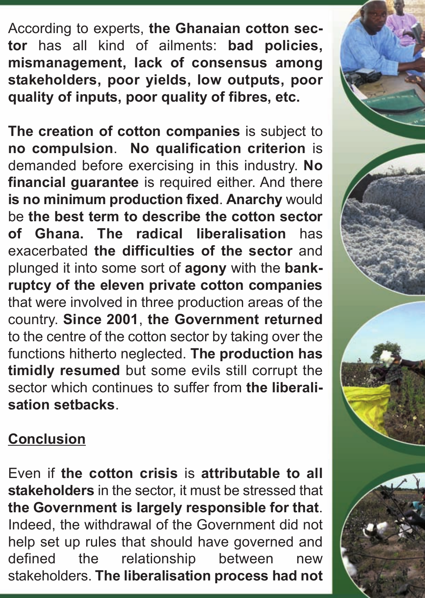According to experts, **the ghanaian cotton sector** has all kind of ailments: **bad policies, mismanagement, lack of consensus among stakeholders, poor yields, low outputs, poor quality of inputs, poor quality of fibres, etc.**

**the creation of cotton companies** is subject to **no compulsion**. **no qualification criterion** is demanded before exercising in this industry. **no financial quarantee** is required either. And there **is no minimum production fixed**. **Anarchy** would be **the best term to describe the cotton sector of ghana. the radical liberalisation** has exacerbated **the difficulties of the sector** and plunged it into some sort of **agony** with the **bankruptcy of the eleven private cotton companies** that were involved in three production areas of the country. **since 2001**, **the government returned** to the centre of the cotton sector by taking over the functions hitherto neglected. **the production has timidly resumed** but some evils still corrupt the sector which continues to suffer from **the liberalisation setbacks**.

#### **conclusion**

Even if **the cotton crisis** is **attributable to all stakeholders** in the sector, it must be stressed that **the government is largely responsible for that**. Indeed, the withdrawal of the Government did not help set up rules that should have governed and defined the relationship between new stakeholders. **the liberalisation process had not**

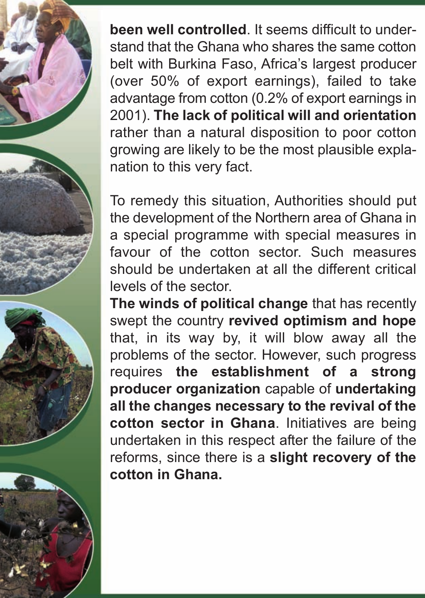**been well controlled**. It seems difficult to understand that the Ghana who shares the same cotton belt with Burkina Faso, Africa's largest producer (over 50% of export earnings), failed to take advantage from cotton (0.2% of export earnings in 2001). **the lack of political will and orientation** rather than a natural disposition to poor cotton growing are likely to be the most plausible explanation to this very fact.

To remedy this situation, Authorities should put the development of the Northern area of Ghana in a special programme with special measures in favour of the cotton sector. Such measures should be undertaken at all the different critical levels of the sector.

**the winds of political change** that has recently swept the country **revived optimism and hope** that, in its way by, it will blow away all the problems of the sector. However, such progress requires **the establishment of a strong producer organization** capable of **undertaking all the changes necessary to the revival of the cotton sector in ghana**. Initiatives are being undertaken in this respect after the failure of the reforms, since there is a **slight recovery of the cotton in ghana.**